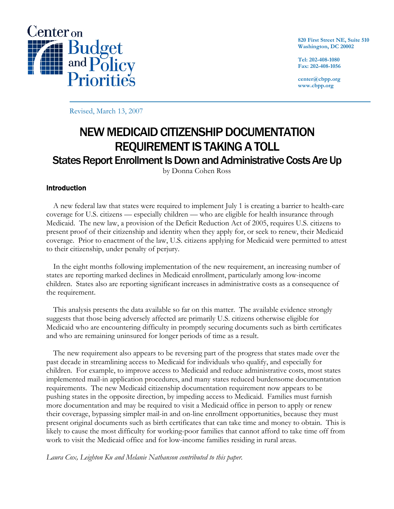

**820 First Street NE, Suite 510 Washington, DC 20002** 

**Tel: 202-408-1080 Fax: 202-408-1056** 

**center@cbpp.org www.cbpp.org** 

Revised, March 13, 2007

# NEW MEDICAID CITIZENSHIP DOCUMENTATION REQUIREMENT IS TAKING A TOLL States Report Enrollment Is Down and Administrative Costs Are Up

by Donna Cohen Ross

## Introduction

A new federal law that states were required to implement July 1 is creating a barrier to health-care coverage for U.S. citizens — especially children — who are eligible for health insurance through Medicaid. The new law, a provision of the Deficit Reduction Act of 2005, requires U.S. citizens to present proof of their citizenship and identity when they apply for, or seek to renew, their Medicaid coverage. Prior to enactment of the law, U.S. citizens applying for Medicaid were permitted to attest to their citizenship, under penalty of perjury.

In the eight months following implementation of the new requirement, an increasing number of states are reporting marked declines in Medicaid enrollment, particularly among low-income children. States also are reporting significant increases in administrative costs as a consequence of the requirement.

This analysis presents the data available so far on this matter. The available evidence strongly suggests that those being adversely affected are primarily U.S. citizens otherwise eligible for Medicaid who are encountering difficulty in promptly securing documents such as birth certificates and who are remaining uninsured for longer periods of time as a result.

The new requirement also appears to be reversing part of the progress that states made over the past decade in streamlining access to Medicaid for individuals who qualify, and especially for children. For example, to improve access to Medicaid and reduce administrative costs, most states implemented mail-in application procedures, and many states reduced burdensome documentation requirements. The new Medicaid citizenship documentation requirement now appears to be pushing states in the opposite direction, by impeding access to Medicaid. Families must furnish more documentation and may be required to visit a Medicaid office in person to apply or renew their coverage, bypassing simpler mail-in and on-line enrollment opportunities, because they must present original documents such as birth certificates that can take time and money to obtain. This is likely to cause the most difficulty for working-poor families that cannot afford to take time off from work to visit the Medicaid office and for low-income families residing in rural areas.

#### Laura Cox, Leighton Ku and Melanie Nathanson contributed to this paper.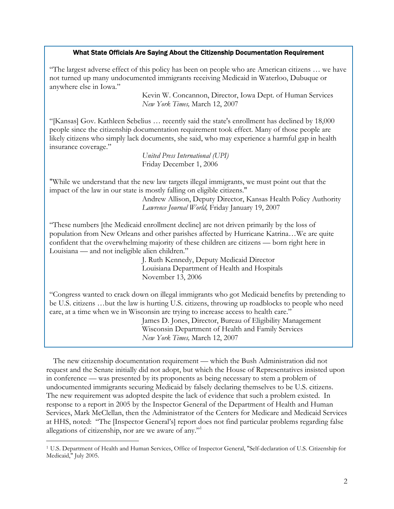#### What State Officials Are Saying About the Citizenship Documentation Requirement

"The largest adverse effect of this policy has been on people who are American citizens … we have not turned up many undocumented immigrants receiving Medicaid in Waterloo, Dubuque or anywhere else in Iowa."

> Kevin W. Concannon, Director, Iowa Dept. of Human Services  *New York Times,* March 12, 2007

"[Kansas] Gov. Kathleen Sebelius … recently said the state's enrollment has declined by 18,000 people since the citizenship documentation requirement took effect. Many of those people are likely citizens who simply lack documents, she said, who may experience a harmful gap in health insurance coverage."

> *United Press International (UPI)*  Friday December 1, 2006

"While we understand that the new law targets illegal immigrants, we must point out that the impact of the law in our state is mostly falling on eligible citizens."

> Andrew Allison, Deputy Director, Kansas Health Policy Authority *Lawrence Journal World,* Friday January 19, 2007

"These numbers [the Medicaid enrollment decline] are not driven primarily by the loss of population from New Orleans and other parishes affected by Hurricane Katrina…We are quite confident that the overwhelming majority of these children are citizens — born right here in Louisiana — and not ineligible alien children."

> J. Ruth Kennedy, Deputy Medicaid Director Louisiana Department of Health and Hospitals November 13, 2006

"Congress wanted to crack down on illegal immigrants who got Medicaid benefits by pretending to be U.S. citizens …but the law is hurting U.S. citizens, throwing up roadblocks to people who need care, at a time when we in Wisconsin are trying to increase access to health care."

> James D. Jones, Director, Bureau of Eligibility Management Wisconsin Department of Health and Family Services *New York Times,* March 12, 2007

The new citizenship documentation requirement — which the Bush Administration did not request and the Senate initially did not adopt, but which the House of Representatives insisted upon in conference — was presented by its proponents as being necessary to stem a problem of undocumented immigrants securing Medicaid by falsely declaring themselves to be U.S. citizens. The new requirement was adopted despite the lack of evidence that such a problem existed. In response to a report in 2005 by the Inspector General of the Department of Health and Human Services, Mark McClellan, then the Administrator of the Centers for Medicare and Medicaid Services at HHS, noted: "The [Inspector General's] report does not find particular problems regarding false allegations of citizenship, nor are we aware of any."1

 $\overline{a}$ 

<sup>1</sup> U.S. Department of Health and Human Services, Office of Inspector General, "Self-declaration of U.S. Citizenship for Medicaid," July 2005.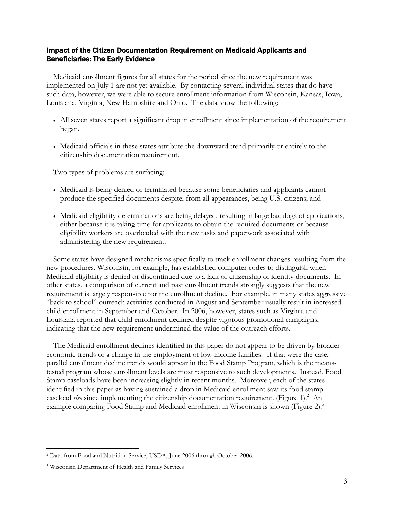## Impact of the Citizen Documentation Requirement on Medicaid Applicants and Beneficiaries: The Early Evidence

Medicaid enrollment figures for all states for the period since the new requirement was implemented on July 1 are not yet available. By contacting several individual states that do have such data, however, we were able to secure enrollment information from Wisconsin, Kansas, Iowa, Louisiana, Virginia, New Hampshire and Ohio. The data show the following:

- All seven states report a significant drop in enrollment since implementation of the requirement began.
- Medicaid officials in these states attribute the downward trend primarily or entirely to the citizenship documentation requirement.

Two types of problems are surfacing:

- Medicaid is being denied or terminated because some beneficiaries and applicants cannot produce the specified documents despite, from all appearances, being U.S. citizens; and
- Medicaid eligibility determinations are being delayed, resulting in large backlogs of applications, either because it is taking time for applicants to obtain the required documents or because eligibility workers are overloaded with the new tasks and paperwork associated with administering the new requirement.

Some states have designed mechanisms specifically to track enrollment changes resulting from the new procedures. Wisconsin, for example, has established computer codes to distinguish when Medicaid eligibility is denied or discontinued due to a lack of citizenship or identity documents. In other states, a comparison of current and past enrollment trends strongly suggests that the new requirement is largely responsible for the enrollment decline. For example, in many states aggressive "back to school" outreach activities conducted in August and September usually result in increased child enrollment in September and October. In 2006, however, states such as Virginia and Louisiana reported that child enrollment declined despite vigorous promotional campaigns, indicating that the new requirement undermined the value of the outreach efforts.

The Medicaid enrollment declines identified in this paper do not appear to be driven by broader economic trends or a change in the employment of low-income families. If that were the case, parallel enrollment decline trends would appear in the Food Stamp Program, which is the meanstested program whose enrollment levels are most responsive to such developments. Instead, Food Stamp caseloads have been increasing slightly in recent months. Moreover, each of the states identified in this paper as having sustained a drop in Medicaid enrollment saw its food stamp caseload *rise* since implementing the citizenship documentation requirement. (Figure 1).<sup>2</sup> An example comparing Food Stamp and Medicaid enrollment in Wisconsin is shown (Figure 2).<sup>3</sup>

<sup>-</sup><sup>2</sup> Data from Food and Nutrition Service, USDA, June 2006 through October 2006.

<sup>3</sup> Wisconsin Department of Health and Family Services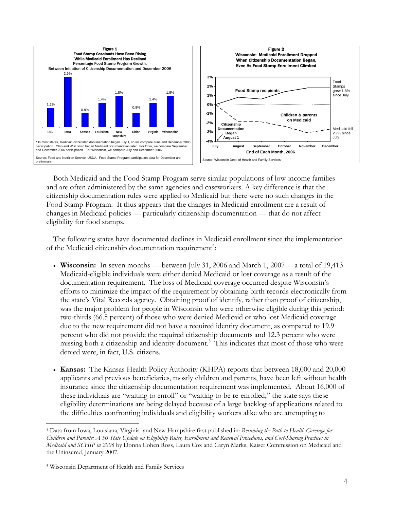

Both Medicaid and the Food Stamp Program serve similar populations of low-income families and are often administered by the same agencies and caseworkers. A key difference is that the citizenship documentation rules were applied to Medicaid but there were no such changes in the Food Stamp Program. It thus appears that the changes in Medicaid enrollment are a result of changes in Medicaid policies — particularly citizenship documentation — that do not affect eligibility for food stamps.

The following states have documented declines in Medicaid enrollment since the implementation of the Medicaid citizenship documentation requirement<sup>4</sup>:

- **Wisconsin:** In seven months between July 31, 2006 and March 1, 2007— a total of 19,413 Medicaid-eligible individuals were either denied Medicaid or lost coverage as a result of the documentation requirement. The loss of Medicaid coverage occurred despite Wisconsin's efforts to minimize the impact of the requirement by obtaining birth records electronically from the state's Vital Records agency. Obtaining proof of identify, rather than proof of citizenship, was the major problem for people in Wisconsin who were otherwise eligible during this period: two-thirds (66.5 percent) of those who were denied Medicaid or who lost Medicaid coverage due to the new requirement did not have a required identity document, as compared to 19.9 percent who did not provide the required citizenship documents and 12.3 percent who were missing both a citizenship and identity document.<sup>5</sup> This indicates that most of those who were denied were, in fact, U.S. citizens.
- **Kansas:** The Kansas Health Policy Authority (KHPA) reports that between 18,000 and 20,000 applicants and previous beneficiaries, mostly children and parents, have been left without health insurance since the citizenship documentation requirement was implemented. About 16,000 of these individuals are "waiting to enroll" or "waiting to be re-enrolled;" the state says these eligibility determinations are being delayed because of a large backlog of applications related to the difficulties confronting individuals and eligibility workers alike who are attempting to

-

<sup>4</sup> Data from Iowa, Louisiana, Virginia and New Hampshire first published in: *Resuming the Path to Health Coverage for Children and Parents: A 50 State Update on Eligibility Rules, Enrollment and Renewal Procedures, and Cost-Sharing Practices in Medicaid and SCHIP in 2006* by Donna Cohen Ross, Laura Cox and Caryn Marks, Kaiser Commission on Medicaid and the Uninsured, January 2007.

<sup>5</sup> Wisconsin Department of Health and Family Services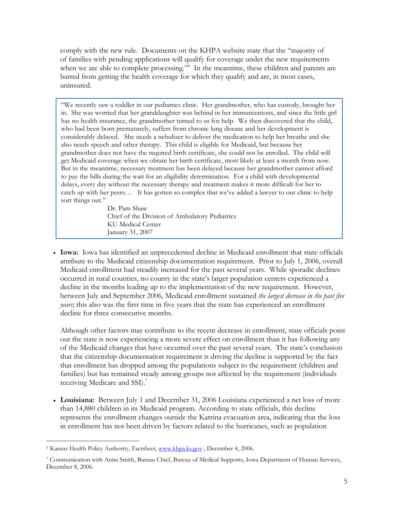comply with the new rule. Documents on the KHPA website state that the "majority of of families with pending applications will qualify for coverage under the new requirements when we are able to complete processing."<sup>6</sup> In the meantime, these children and parents are barred from getting the health coverage for which they qualify and are, in most cases, uninsured.

"We recently saw a toddler in our pediatrics clinic. Her grandmother, who has custody, brought her in. She was worried that her granddaughter was behind in her immunizations, and since the little girl has no health insurance, the grandmother turned to us for help. We then discovered that the child, who had been born prematurely, suffers from chronic lung disease and her development is considerably delayed. She needs a nebulizer to deliver the medication to help her breathe and she also needs speech and other therapy. This child is eligible for Medicaid, but because her grandmother does not have the required birth certificate, she could not be enrolled. The child will get Medicaid coverage when we obtain her birth certificate, most likely at least a month from now. But in the meantime, necessary treatment has been delayed because her grandmother cannot afford to pay the bills during the wait for an eligibility determination. For a child with developmental delays, every day without the necessary therapy and treatment makes it more difficult for her to catch up with her peers… It has gotten so complex that we've added a lawyer to our clinic to help sort things out."

> Dr. Pam Shaw Chief of the Division of Ambulatory Pediatrics KU Medical Center January 31, 2007

• **Iowa:** Iowa has identified an unprecedented decline in Medicaid enrollment that state officials attribute to the Medicaid citizenship documentation requirement. Prior to July 1, 2006, overall Medicaid enrollment had steadily increased for the past several years. While sporadic declines occurred in rural counties, no county in the state's larger population centers experienced a decline in the months leading up to the implementation of the new requirement. However, between July and September 2006, Medicaid enrollment sustained *the largest decrease in the past five years*; this also was the first time in five years that the state has experienced an enrollment decline for three consecutive months.

Although other factors may contribute to the recent decrease in enrollment, state officials point out the state is now experiencing a more severe effect on enrollment than it has following any of the Medicaid changes that have occurred over the past several years. The state's conclusion that the citizenship documentation requirement is driving the decline is supported by the fact that enrollment has dropped among the populations subject to the requirement (children and families) but has remained steady among groups not affected by the requirement (individuals receiving Medicare and SSI).<sup>7</sup>

• **Louisiana:** Between July 1 and December 31, 2006 Louisiana experienced a net loss of more than 14,880 children in its Medicaid program. According to state officials, this decline represents the enrollment changes outside the Katrina evacuation area, indicating that the loss in enrollment has not been driven by factors related to the hurricanes, such as population

 $\overline{a}$ <sup>6</sup> Kansas Health Policy Authority, Factsheet, www.khpa.ks.gov, December 4, 2006.

<sup>7</sup> Communication with Anita Smith, Bureau Chief, Bureau of Medical Supports, Iowa Department of Human Services, December 8, 2006.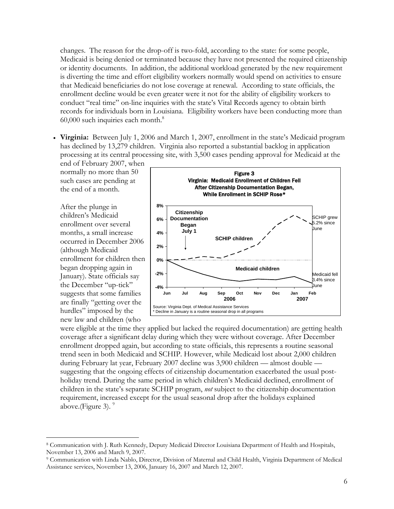changes. The reason for the drop-off is two-fold, according to the state: for some people, Medicaid is being denied or terminated because they have not presented the required citizenship or identity documents. In addition, the additional workload generated by the new requirement is diverting the time and effort eligibility workers normally would spend on activities to ensure that Medicaid beneficiaries do not lose coverage at renewal. According to state officials, the enrollment decline would be even greater were it not for the ability of eligibility workers to conduct "real time" on-line inquiries with the state's Vital Records agency to obtain birth records for individuals born in Louisiana. Eligibility workers have been conducting more than  $60,000$  such inquiries each month. $8$ 

• **Virginia:** Between July 1, 2006 and March 1, 2007, enrollment in the state's Medicaid program has declined by 13,279 children. Virginia also reported a substantial backlog in application processing at its central processing site, with 3,500 cases pending approval for Medicaid at the

end of February 2007, when normally no more than 50 such cases are pending at the end of a month.

After the plunge in children's Medicaid enrollment over several months, a small increase occurred in December 2006 (although Medicaid enrollment for children then began dropping again in January). State officials say the December "up-tick" suggests that some families are finally "getting over the hurdles" imposed by the new law and children (who

-



were eligible at the time they applied but lacked the required documentation) are getting health coverage after a significant delay during which they were without coverage. After December enrollment dropped again, but according to state officials, this represents a routine seasonal trend seen in both Medicaid and SCHIP. However, while Medicaid lost about 2,000 children during February lat year, February 2007 decline was 3,900 children — almost double suggesting that the ongoing effects of citizenship documentation exacerbated the usual postholiday trend. During the same period in which children's Medicaid declined, enrollment of children in the state's separate SCHIP program, *not* subject to the citizenship documentation requirement, increased except for the usual seasonal drop after the holidays explained above.(Figure 3).  $9$ 

<sup>8</sup> Communication with J. Ruth Kennedy, Deputy Medicaid Director Louisiana Department of Health and Hospitals, November 13, 2006 and March 9, 2007.

<sup>9</sup> Communication with Linda Nablo, Director, Division of Maternal and Child Health, Virginia Department of Medical Assistance services, November 13, 2006, January 16, 2007 and March 12, 2007.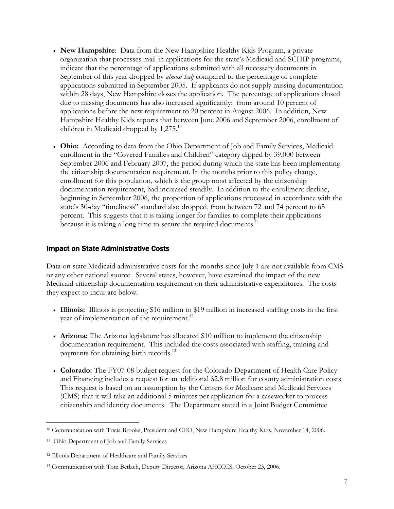- **New Hampshire**: Data from the New Hampshire Healthy Kids Program, a private organization that processes mail-in applications for the state's Medicaid and SCHIP programs, indicate that the percentage of applications submitted with all necessary documents in September of this year dropped by *almost half* compared to the percentage of complete applications submitted in September 2005. If applicants do not supply missing documentation within 28 days, New Hampshire closes the application. The percentage of applications closed due to missing documents has also increased significantly: from around 10 percent of applications before the new requirement to 20 percent in August 2006. In addition, New Hampshire Healthy Kids reports that between June 2006 and September 2006, enrollment of children in Medicaid dropped by 1,275.<sup>10</sup>
- **Ohio:** According to data from the Ohio Department of Job and Family Services, Medicaid enrollment in the "Covered Families and Children" category dipped by 39,000 between September 2006 and February 2007, the period during which the state has been implementing the citizenship documentation requirement. In the months prior to this policy change, enrollment for this population, which is the group most affected by the citizenship documentation requirement, had increased steadily. In addition to the enrollment decline, beginning in September 2006, the proportion of applications processed in accordance with the state's 30-day "timeliness" standard also dropped, from between 72 and 74 percent to 65 percent. This suggests that it is taking longer for families to complete their applications because it is taking a long time to secure the required documents.<sup>11</sup>

### Impact on State Administrative Costs

Data on state Medicaid administrative costs for the months since July 1 are not available from CMS or any other national source. Several states, however, have examined the impact of the new Medicaid citizenship documentation requirement on their administrative expenditures. The costs they expect to incur are below.

- **Illinois:** Illinois is projecting \$16 million to \$19 million in increased staffing costs in the first year of implementation of the requirement.<sup>12</sup>
- **Arizona:** The Arizona legislature has allocated \$10 million to implement the citizenship documentation requirement. This included the costs associated with staffing, training and payments for obtaining birth records.<sup>13</sup>
- **Colorado:** The FY07-08 budget request for the Colorado Department of Health Care Policy and Financing includes a request for an additional \$2.8 million for county administration costs. This request is based on an assumption by the Centers for Medicare and Medicaid Services (CMS) that it will take an additional 5 minutes per application for a caseworker to process citizenship and identity documents. The Department stated in a Joint Budget Committee

 $\overline{a}$ 10 Communication with Tricia Brooks, President and CEO, New Hampshire Healthy Kids, November 14, 2006.

<sup>11</sup> Ohio Department of Job and Family Services

<sup>12</sup> Illinois Department of Healthcare and Family Services

<sup>13</sup> Communication with Tom Betlach, Deputy Director, Arizona AHCCCS, October 23, 2006.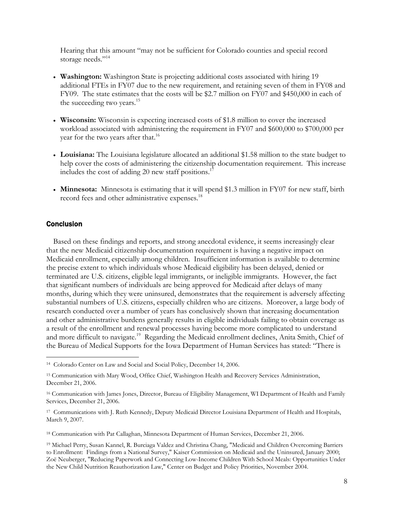Hearing that this amount "may not be sufficient for Colorado counties and special record storage needs."<sup>14</sup>

- **Washington:** Washington State is projecting additional costs associated with hiring 19 additional FTEs in FY07 due to the new requirement, and retaining seven of them in FY08 and FY09. The state estimates that the costs will be \$2.7 million on FY07 and \$450,000 in each of the succeeding two years. $15$
- **Wisconsin:** Wisconsin is expecting increased costs of \$1.8 million to cover the increased workload associated with administering the requirement in FY07 and \$600,000 to \$700,000 per year for the two years after that.<sup>16</sup>
- **Louisiana:** The Louisiana legislature allocated an additional \$1.58 million to the state budget to help cover the costs of administering the citizenship documentation requirement. This increase includes the cost of adding 20 new staff positions.<sup>17</sup>
- **Minnesota:** Minnesota is estimating that it will spend \$1.3 million in FY07 for new staff, birth record fees and other administrative expenses.<sup>18</sup>

#### **Conclusion**

 $\overline{a}$ 

Based on these findings and reports, and strong anecdotal evidence, it seems increasingly clear that the new Medicaid citizenship documentation requirement is having a negative impact on Medicaid enrollment, especially among children. Insufficient information is available to determine the precise extent to which individuals whose Medicaid eligibility has been delayed, denied or terminated are U.S. citizens, eligible legal immigrants, or ineligible immigrants. However, the fact that significant numbers of individuals are being approved for Medicaid after delays of many months, during which they were uninsured, demonstrates that the requirement is adversely affecting substantial numbers of U.S. citizens, especially children who are citizens. Moreover, a large body of research conducted over a number of years has conclusively shown that increasing documentation and other administrative burdens generally results in eligible individuals failing to obtain coverage as a result of the enrollment and renewal processes having become more complicated to understand and more difficult to navigate.<sup>19</sup> Regarding the Medicaid enrollment declines, Anita Smith, Chief of the Bureau of Medical Supports for the Iowa Department of Human Services has stated: "There is

<sup>14</sup> Colorado Center on Law and Social and Social Policy, December 14, 2006.

<sup>15</sup> Communication with Mary Wood, Office Chief, Washington Health and Recovery Services Administration, December 21, 2006.

<sup>16</sup> Communication with James Jones, Director, Bureau of Eligibility Management, WI Department of Health and Family Services, December 21, 2006.

<sup>17</sup> Communications with J. Ruth Kennedy, Deputy Medicaid Director Louisiana Department of Health and Hospitals, March 9, 2007.

<sup>18</sup> Communication with Pat Callaghan, Minnesota Department of Human Services, December 21, 2006.

<sup>19</sup> Michael Perry, Susan Kannel, R. Burciaga Valdez and Christina Chang, "Medicaid and Children Overcoming Barriers to Enrollment: Findings from a National Survey," Kaiser Commission on Medicaid and the Uninsured, January 2000; Zoë Neuberger, "Reducing Paperwork and Connecting Low-Income Children With School Meals: Opportunities Under the New Child Nutrition Reauthorization Law," Center on Budget and Policy Priorities, November 2004.